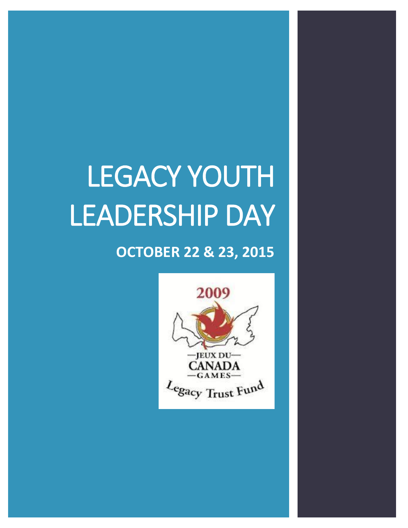# LEGACY YOUTH LEADERSHIP DAY

## **OCTOBER 22 & 23, 2015**